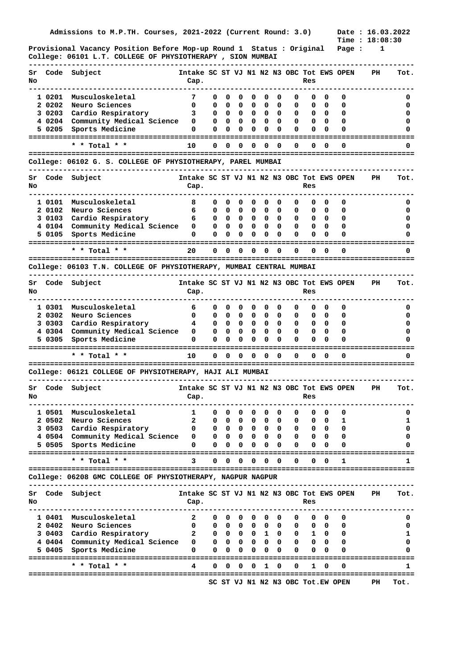**Provisional Vacancy Position Before Mop-up Round 1 Status : Original Page : 1 College: 06101 L.T. COLLEGE OF PHYSIOTHERAPY , SION MUMBAI** 

| Sr<br>No |                 | Code Subject                                                        | Intake SC ST VJ N1 N2 N3 OBC Tot EWS OPEN<br>Cap. |              |                   |             |                        |              |                          |          | Res          |          |                                   | PH | Tot.   |
|----------|-----------------|---------------------------------------------------------------------|---------------------------------------------------|--------------|-------------------|-------------|------------------------|--------------|--------------------------|----------|--------------|----------|-----------------------------------|----|--------|
|          | 1 0201          | Musculoskeletal                                                     | 7                                                 | 0            | 0                 | 0           | 0                      | 0            | 0                        | 0        | 0            | 0        | 0                                 |    | o      |
|          | 2 0202          | Neuro Sciences                                                      | 0                                                 | 0            | 0                 | 0           | 0                      | 0            | 0                        | 0        | 0            | 0        | 0                                 |    | 0      |
|          | 3 0203          | Cardio Respiratory                                                  | з                                                 | 0            | 0                 | 0           | 0                      | 0            | 0                        | 0        | 0            | 0        | 0                                 |    | o      |
|          | 4 0204          | Community Medical Science                                           | 0                                                 | 0            | 0                 | 0           | 0                      | 0            | 0                        | 0        | 0            | $\Omega$ | 0                                 |    | 0      |
|          | 5 0205          | Sports Medicine                                                     | 0                                                 | 0            | 0                 | 0           | 0                      | $\Omega$     | 0                        | $\Omega$ | 0            | 0        | 0                                 |    |        |
|          |                 |                                                                     |                                                   |              |                   |             |                        |              |                          |          |              |          |                                   |    |        |
|          |                 | * * Total * *                                                       | 10                                                | 0            | 0                 | 0           | 0                      | 0            | 0                        | 0        | 0            | $\Omega$ | 0                                 |    |        |
|          |                 | College: 06102 G. S. COLLEGE OF PHYSIOTHERAPY, PAREL MUMBAI         |                                                   |              |                   |             |                        |              |                          |          |              |          |                                   |    |        |
| Sr<br>No | Code            | Subject                                                             | Intake SC ST VJ N1 N2 N3 OBC Tot EWS OPEN<br>Cap. |              |                   |             |                        |              |                          |          | Res          |          |                                   | PH | Tot.   |
|          | 1 0101          | Musculoskeletal                                                     | 8                                                 | 0            | 0                 | 0           | 0                      | 0            | 0                        | 0        | 0            | 0        | 0                                 |    | 0      |
|          | 2 0102          | Neuro Sciences                                                      | 6                                                 | 0            | 0                 | 0           | 0                      | 0            | 0                        | 0        | 0            | 0        | 0                                 |    | 0      |
|          | 3 0103          | Cardio Respiratory                                                  | 6                                                 | 0            | 0                 | 0           | 0                      | 0            | 0                        | 0        | 0            | $\Omega$ | 0                                 |    | 0      |
|          | 4 0104          | Community Medical Science                                           | 0                                                 | 0            | 0                 | $\mathbf 0$ | 0                      | 0            | 0                        | 0        | 0            | 0        | 0                                 |    | o      |
|          | 5 0105          | Sports Medicine                                                     | 0                                                 | 0            | 0                 | 0           | 0                      | 0            | 0                        | 0        | 0            | 0        | 0                                 |    |        |
|          |                 | -------------<br>* * Total * *                                      | 20                                                | 0            | 0                 | 0           | Ω                      | 0            | 0                        | 0        | 0            | $\Omega$ | 0                                 |    |        |
|          |                 |                                                                     |                                                   |              |                   |             |                        |              |                          |          |              |          |                                   |    |        |
|          |                 | College: 06103 T.N. COLLEGE OF PHYSIOTHERAPY, MUMBAI CENTRAL MUMBAI |                                                   |              |                   |             |                        |              |                          |          |              |          |                                   |    |        |
| Sr<br>No |                 | Code Subject                                                        | Intake SC ST VJ N1 N2 N3 OBC Tot EWS OPEN<br>Cap. |              |                   |             |                        |              |                          |          | Res          |          |                                   | PH | Tot.   |
|          | 1 0301          | Musculoskeletal                                                     | 6                                                 | 0            | 0                 | 0           | 0                      | 0            | 0                        | 0        | 0            | 0        | 0                                 |    | 0      |
|          | 2 0302          | Neuro Sciences                                                      | 0                                                 | 0            | 0                 | 0           | 0                      | 0            | 0                        | 0        | 0            | 0        | 0                                 |    | 0      |
|          | 3 0303          | Cardio Respiratory                                                  | 4                                                 | 0            | 0                 | 0           | 0                      | 0            | 0                        | 0        | 0            | 0        | 0                                 |    | 0      |
|          | 4 0304          | Community Medical Science                                           | 0                                                 | 0            | 0                 | 0           | 0                      | 0            | 0                        | 0        | 0            | 0        | 0                                 |    | o      |
|          | 5 0305          | Sports Medicine                                                     | 0                                                 | 0            | 0                 | 0           | 0                      | 0            | 0                        | 0        | 0            | 0        | O                                 |    |        |
|          |                 |                                                                     |                                                   |              |                   |             |                        |              |                          |          |              |          |                                   |    |        |
|          |                 | * * Total * *                                                       | 10                                                | 0            | 0                 | 0           | 0                      | 0            | 0                        | 0        | 0            | 0        | 0                                 |    |        |
|          |                 | College: 06121 COLLEGE OF PHYSIOTHERAPY, HAJI ALI MUMBAI            |                                                   |              |                   |             |                        |              |                          |          |              |          |                                   |    |        |
| Sr<br>No |                 | Code Subject                                                        | Intake SC ST VJ N1 N2 N3 OBC Tot EWS OPEN<br>Cap. |              |                   |             |                        |              |                          |          | Res          |          |                                   | PН | Tot.   |
|          |                 |                                                                     |                                                   |              |                   |             |                        |              |                          |          |              |          |                                   |    |        |
|          |                 | 1 0501 Musculoskeletal                                              | 1                                                 | 0            | 0                 | 0           | 0                      | 0            | $\overline{\phantom{0}}$ | 0        | 0            | 0        | 0                                 |    | 0      |
|          | 20502<br>3 0503 | Neuro Sciences<br>Cardio Respiratory                                | 2<br>0                                            | 0<br>0       | 0                 | o           | 0                      | 0<br>0       | 0<br>0                   | U        | 0<br>0       | 0<br>0   | ı<br>0                            |    | ı<br>0 |
|          |                 | 4 0504 Community Medical Science                                    | 0                                                 | 0            | 0<br>$\mathbf{0}$ | 0<br>0      | 0<br>0                 | 0            | 0                        | 0<br>0   | 0            | 0        | 0                                 |    | 0      |
|          | 5 0505          | Sports Medicine                                                     | 0                                                 | 0            | 0                 | 0           | 0                      | 0            | 0                        | 0        | 0            |          | O                                 |    |        |
|          |                 | * * Total * *                                                       | 3                                                 | 0            | 0                 | 0           | 0                      | 0            | 0                        | 0        | 0            | 0        | 1                                 |    | 1      |
|          |                 | College: 06208 GMC COLLEGE OF PHYSIOTHERAPY, NAGPUR NAGPUR          |                                                   |              |                   |             |                        |              |                          |          |              |          |                                   |    |        |
|          |                 |                                                                     |                                                   |              |                   |             |                        |              |                          |          |              |          |                                   |    |        |
| Sr<br>No | Code            | Subject                                                             | Intake SC ST VJ N1 N2 N3 OBC Tot EWS OPEN<br>Cap. |              |                   |             |                        |              |                          |          | Res          |          |                                   | PH | Tot.   |
|          |                 |                                                                     |                                                   |              |                   |             |                        |              |                          |          |              |          |                                   |    |        |
|          | 1 0401          | Musculoskeletal                                                     | 2                                                 | 0            | 0                 | 0           | 0                      | 0            | 0                        | 0        | 0            | 0        | 0                                 |    | 0      |
|          | 2 0402          | Neuro Sciences                                                      | 0                                                 | 0            |                   |             | $0\quad 0\quad 0\quad$ | $\mathbf{0}$ | 0                        | 0        | 0            | 0        | 0                                 |    | 0      |
|          | 3 0403          | Cardio Respiratory                                                  | 2                                                 | 0            |                   | $0\quad 0$  |                        | 0 1 0        |                          | 0        | $\mathbf{1}$ | 0        | 0                                 |    | 1      |
|          |                 | 4 0404 Community Medical Science                                    | 0                                                 | $\mathbf{0}$ | $\mathbf{0}$      | 0           | 0                      | $\mathbf{0}$ | 0                        | 0        | 0            | $\Omega$ | 0                                 |    | 0<br>n |
|          | 5 0405          | Sports Medicine                                                     | 0                                                 | 0            | 0                 | 0           | 0                      | 0            | 0                        | 0        | 0            | 0        | 0                                 |    |        |
|          |                 | * * Total * *                                                       | 4                                                 | 0            | 0                 | 0           | 0                      | 1            | 0                        | 0        | 1            | 0        | O                                 |    | 1      |
|          |                 |                                                                     |                                                   |              |                   |             |                        |              |                          |          |              |          |                                   |    |        |
|          |                 |                                                                     |                                                   |              |                   |             |                        |              |                          |          |              |          | SC ST VJ N1 N2 N3 OBC Tot.EW OPEN | PН | Tot.   |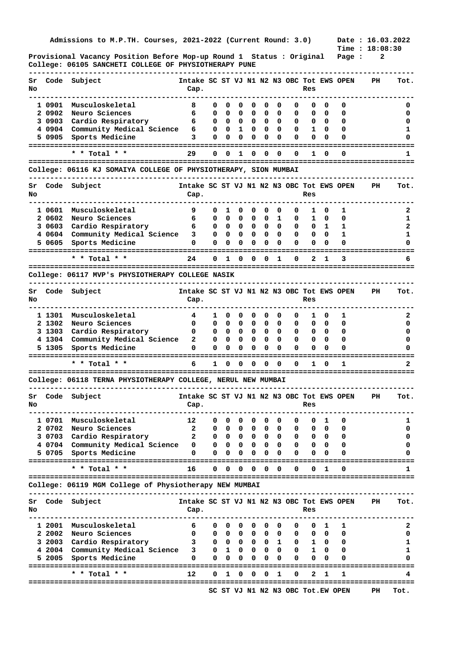**Admissions to M.P.TH. Courses, 2021-2022 (Current Round: 3.0)** 

**Provisional Vacancy Position Before Mop-up Round 1 Status : Original Page : 2 College: 06105 SANCHETI COLLEGE OF PHYSIOTHERAPY PUNE** 

| Sr<br>No |        | Code Subject                                                    | Intake SC ST VJ N1 N2 N3 OBC Tot EWS OPEN<br>Cap. |   |   |                          |   |          |                         |   | Res          |          |   | PH                                | Tot. |
|----------|--------|-----------------------------------------------------------------|---------------------------------------------------|---|---|--------------------------|---|----------|-------------------------|---|--------------|----------|---|-----------------------------------|------|
|          | 1 0901 | Musculoskeletal                                                 | 8                                                 | 0 | 0 | 0                        | 0 | 0        | 0                       | 0 | 0            | 0        | 0 |                                   | 0    |
|          | 2 0902 | Neuro Sciences                                                  | 6                                                 | 0 | 0 | 0                        | 0 | 0        | 0                       | 0 | 0            | 0        | 0 |                                   | 0    |
|          | 3 0903 | Cardio Respiratory                                              | 6                                                 | 0 | 0 | 0                        | 0 | 0        | 0                       | 0 | 0            | 0        | 0 |                                   | 0    |
|          | 4 0904 | Community Medical Science                                       | 6                                                 | 0 | 0 | 1                        | 0 | 0        | 0                       | 0 | 1            | $\Omega$ | 0 |                                   | ı    |
|          | 5 0905 | Sports Medicine                                                 | 3                                                 | 0 | 0 | 0                        | 0 | 0        | 0                       | 0 | 0            | 0        | 0 |                                   |      |
|          |        |                                                                 |                                                   |   |   |                          |   |          |                         |   |              |          |   |                                   |      |
|          |        | * * Total * *                                                   | 29                                                | 0 | 0 | 1                        | 0 | $\Omega$ | $\Omega$                | 0 | 1            | 0        | n |                                   | 1    |
|          |        | College: 06116 KJ SOMAIYA COLLEGE OF PHYSIOTHERAPY, SION MUMBAI |                                                   |   |   |                          |   |          |                         |   |              |          |   |                                   |      |
| Sr       |        | Code Subject                                                    | Intake SC ST VJ N1 N2 N3 OBC Tot EWS OPEN         |   |   |                          |   |          |                         |   |              |          |   | PH.                               | Tot. |
| No       |        |                                                                 | Cap.                                              |   |   |                          |   |          |                         |   | Res          |          |   |                                   |      |
|          | 1 0601 | Musculoskeletal                                                 | 9                                                 | 0 | 1 | 0                        | 0 | 0        | 0                       | 0 | 1            | 0        | 1 |                                   | 2    |
|          | 2 0602 | Neuro Sciences                                                  | 6                                                 | 0 | 0 | 0                        | 0 | 0        | 1                       | 0 | ı            | 0        | 0 |                                   | 1    |
|          | 3 0603 | Cardio Respiratory                                              | 6                                                 | 0 | 0 | 0                        | 0 | 0        | 0                       | 0 | 0            | 1        | 1 |                                   | 2    |
|          | 4 0604 | Community Medical Science                                       | 3                                                 | 0 | 0 | $\overline{\phantom{0}}$ | 0 | 0        | 0                       | 0 | 0            | 0        | 1 |                                   | ı    |
|          | 5 0605 | Sports Medicine                                                 | 0                                                 | 0 | 0 | 0                        | 0 | 0        | 0                       | 0 | 0            | 0        | 0 |                                   |      |
|          |        | * * Total * *                                                   | 24                                                | 0 | 1 | 0                        | 0 | 0        | 1                       | 0 | 2            | 1        | 3 |                                   |      |
|          |        |                                                                 |                                                   |   |   |                          |   |          |                         |   |              |          |   |                                   |      |
|          |        | College: 06117 MVP's PHYSIOTHERAPY COLLEGE NASIK                |                                                   |   |   |                          |   |          |                         |   |              |          |   |                                   |      |
| Sr<br>No |        | Code Subject                                                    | Intake SC ST VJ N1 N2 N3 OBC Tot EWS OPEN<br>Cap. |   |   |                          |   |          |                         |   | Res          |          |   | PH                                | Tot. |
|          | 1 1301 | Musculoskeletal                                                 | 4                                                 | ı | 0 | 0                        | 0 | 0        | 0                       | 0 | ı            | 0        | 1 |                                   | 2    |
|          | 2 1302 | Neuro Sciences                                                  | 0                                                 | 0 | 0 | 0                        | 0 | 0        | 0                       | 0 | 0            | 0        | 0 |                                   | 0    |
|          | 3 1303 | Cardio Respiratory                                              | 0                                                 | 0 | 0 | 0                        | 0 | 0        | 0                       | 0 | 0            | 0        | 0 |                                   | 0    |
|          | 4 1304 | Community Medical Science                                       | 2                                                 | 0 | 0 | 0                        | 0 | 0        | 0                       | 0 | 0            | 0        | 0 |                                   | 0    |
|          | 5 1305 | Sports Medicine                                                 | 0                                                 | 0 | 0 | 0                        | 0 | 0        | 0                       | 0 | 0            | 0        | 0 |                                   |      |
|          |        |                                                                 |                                                   |   |   |                          |   |          |                         |   |              |          |   |                                   |      |
|          |        | * * Total * *                                                   | 6                                                 | 1 | 0 | 0                        | 0 | 0        | 0                       | 0 | 1            | 0        | 1 |                                   | 2    |
|          |        | College: 06118 TERNA PHYSIOTHERAPY COLLEGE, NERUL NEW MUMBAI    |                                                   |   |   |                          |   |          |                         |   |              |          |   |                                   |      |
| Sr<br>No |        | Code Subject                                                    | Intake SC ST VJ N1 N2 N3 OBC Tot EWS OPEN<br>Cap. |   |   |                          |   |          |                         |   | Res          |          |   | PH                                | Tot. |
|          |        | 1 0701 Musculoskeletal                                          | 12                                                | 0 | 0 | 0                        | 0 | 0        | $\overline{\mathbf{0}}$ | 0 | 0            | 1        | 0 |                                   | 1    |
|          | 2 0702 | Neuro Sciences                                                  | 2                                                 | 0 | 0 | 0                        | o | 0        | 0                       | 0 | 0            | 0        | 0 |                                   | 0    |
|          | 3 0703 | Cardio Respiratory                                              | 2                                                 | 0 | 0 | 0                        | 0 | 0        | 0                       | 0 | 0            | 0        | 0 |                                   | 0    |
|          |        | 4 0704 Community Medical Science                                | 0                                                 | 0 | 0 | 0                        | 0 | 0        | 0                       | 0 | 0            | 0        | 0 |                                   | 0    |
|          | 5 0705 | Sports Medicine                                                 | 0                                                 | 0 | 0 | 0                        | 0 | 0        | 0                       | 0 | 0            |          | 0 |                                   |      |
|          |        | * * Total * *                                                   | 16                                                | 0 | 0 | 0                        | 0 | 0        | 0                       | 0 | 0            | 1        | 0 |                                   | 1    |
|          |        | College: 06119 MGM College of Physiotherapy NEW MUMBAI          |                                                   |   |   |                          |   |          |                         |   |              |          |   |                                   |      |
| Sr<br>No | Code   | Subject                                                         | Intake SC ST VJ N1 N2 N3 OBC Tot EWS OPEN<br>Cap. |   |   |                          |   |          |                         |   | Res          |          |   | PH                                | Tot. |
|          |        |                                                                 |                                                   |   |   |                          |   |          |                         |   |              |          |   |                                   |      |
|          | 1 2001 | Musculoskeletal                                                 | 6                                                 | 0 | 0 | 0                        | 0 | 0        | 0                       | 0 | 0            | ı        | ı |                                   | 2    |
|          | 2 2002 | Neuro Sciences                                                  | 0                                                 | 0 |   | $0\quad 0$               | 0 | 0        | 0                       | 0 | 0            | 0        | 0 |                                   | 0    |
|          |        | 3 2003 Cardio Respiratory                                       | 3                                                 | 0 |   | $0\quad 0$               |   | 0 0 1    |                         | 0 | $\mathbf{1}$ | 0        | 0 |                                   | ı    |
|          |        |                                                                 |                                                   |   |   |                          |   |          |                         | 0 |              | 0        | 0 |                                   | 1    |
|          |        | 4 2004 Community Medical Science                                | 3                                                 | 0 |   | $1 \quad 0$              | 0 | 0        | 0                       |   | 1            |          |   |                                   |      |
|          | 5 2005 | Sports Medicine                                                 | 0                                                 | 0 | 0 | 0                        | 0 | 0        | 0                       | 0 | 0            | 0        | o |                                   | n    |
|          |        |                                                                 |                                                   |   |   |                          |   |          |                         |   |              |          |   |                                   |      |
|          |        | * * Total * *                                                   | 12                                                | 0 | 1 | 0                        | 0 | $\Omega$ | 1                       | 0 | 2            | 1        | 1 | ================================= | 4    |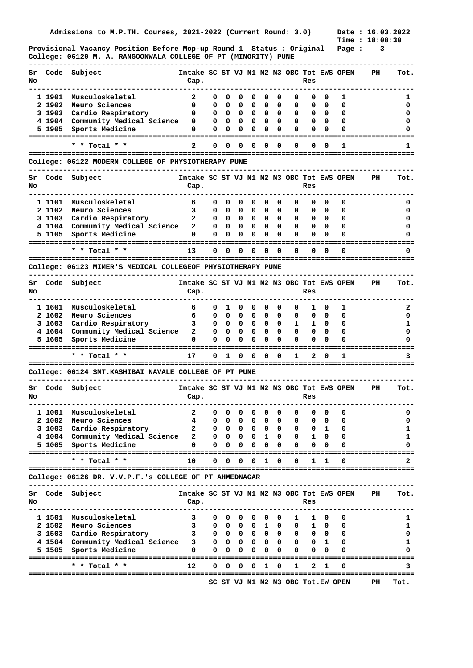**Provisional Vacancy Position Before Mop-up Round 1 Status : Original Page : 3 College: 06120 M. A. RANGOONWALA COLLEGE OF PT (MINORITY) PUNE** 

| Sr<br>No |        | Code Subject                                                | Intake SC ST VJ N1 N2 N3 OBC Tot EWS OPEN<br>Cap. |              |              |                        |              |                   |             |   | Res          |          |                                   | PH                                | Tot. |
|----------|--------|-------------------------------------------------------------|---------------------------------------------------|--------------|--------------|------------------------|--------------|-------------------|-------------|---|--------------|----------|-----------------------------------|-----------------------------------|------|
|          | 1 1901 | Musculoskeletal                                             | 2                                                 | 0            | 0            | 0                      | 0            | 0                 | 0           | 0 | 0            | 0        | 1                                 |                                   | ı    |
|          | 2 1902 | Neuro Sciences                                              | 0                                                 | 0            | 0            | 0                      | 0            | 0                 | 0           | 0 | 0            | 0        | 0                                 |                                   | 0    |
|          | 3 1903 | Cardio Respiratory                                          | 0                                                 | 0            | 0            | 0                      | 0            | 0                 | 0           | 0 | 0            | 0        | 0                                 |                                   | 0    |
|          | 4 1904 | Community Medical Science                                   | 0                                                 | 0            | 0            | 0                      | 0            | 0                 | 0           | 0 | 0            | 0        | 0                                 |                                   | o    |
|          | 5 1905 | Sports Medicine                                             | 0                                                 | 0            | 0            | 0                      | 0            | 0                 | 0           | 0 | 0            | 0        | 0                                 |                                   |      |
|          |        |                                                             |                                                   |              |              |                        |              |                   |             |   |              |          |                                   |                                   |      |
|          |        | * * Total *                                                 | 2                                                 | 0            | 0            | o                      | 0            | Ω                 | 0           | 0 | 0            | $\Omega$ | 1                                 |                                   |      |
|          |        | College: 06122 MODERN COLLEGE OF PHYSIOTHERAPY PUNE         |                                                   |              |              |                        |              |                   |             |   |              |          |                                   |                                   |      |
| Sr<br>No |        | Code Subject                                                | Intake SC ST VJ N1 N2 N3 OBC Tot EWS OPEN<br>Cap. |              |              |                        |              |                   |             |   | Res          |          |                                   | PH                                | Tot. |
|          | 1 1101 | Musculoskeletal                                             | 6                                                 | 0            | 0            | 0                      | 0            | 0                 | 0           | 0 | 0            | 0        | 0                                 |                                   | 0    |
|          | 2 1102 | Neuro Sciences                                              | 3                                                 | 0            | 0            | 0                      | 0            | 0                 | 0           | 0 | 0            | 0        | 0                                 |                                   | o    |
|          | 3 1103 | Cardio Respiratory                                          | $\mathbf{2}$                                      | 0            | 0            | 0                      | 0            | 0                 | 0           | 0 | 0            | 0        | 0                                 |                                   | 0    |
|          |        | 4 1104 Community Medical Science                            | 2                                                 | 0            | 0            | 0                      | 0            | 0                 | 0           | 0 | 0            | $\Omega$ | 0                                 |                                   | o    |
|          | 5 1105 | Sports Medicine                                             | 0                                                 | 0            | 0            | 0                      | 0            | 0                 | 0           | 0 | 0            | 0        | 0                                 |                                   |      |
|          |        | * * Total * *                                               | 13                                                | 0            | 0            | 0                      | Ω            | Ω                 | 0           | 0 | 0            | 0        | 0                                 |                                   |      |
|          |        | College: 06123 MIMER'S MEDICAL COLLEGEOF PHYSIOTHERAPY PUNE |                                                   |              |              |                        |              |                   |             |   |              |          |                                   | ================================= |      |
|          |        |                                                             |                                                   |              |              |                        |              |                   |             |   |              |          |                                   |                                   |      |
| Sr<br>No |        | Code Subject                                                | Intake SC ST VJ N1 N2 N3 OBC Tot EWS OPEN<br>Cap. |              |              |                        |              |                   |             |   | Res          |          |                                   | PH                                | Tot. |
|          | 1 1601 | Musculoskeletal                                             | 6                                                 | 0            | 1            | 0                      | 0            | 0                 | 0           | 0 | 1            | 0        | 1                                 |                                   | 2    |
|          | 2 1602 | Neuro Sciences                                              | 6                                                 | 0            | 0            | 0                      | 0            | 0                 | 0           | 0 | 0            | 0        | 0                                 |                                   | 0    |
|          | 3 1603 | Cardio Respiratory                                          | 3                                                 | 0            | 0            | 0                      | 0            | 0                 | 0           | 1 | ı            | 0        | 0                                 |                                   | 1    |
|          | 4 1604 | Community Medical Science                                   | $\mathbf{2}$                                      | 0            | 0            | 0                      | 0            | 0                 | 0           | 0 | 0            | $\Omega$ | 0                                 |                                   | o    |
|          | 5 1605 | Sports Medicine                                             | 0                                                 | 0            | 0            | 0                      | 0            | 0                 | 0           | 0 | 0            | 0        | 0                                 |                                   |      |
|          |        |                                                             |                                                   |              |              |                        |              |                   |             |   |              |          |                                   |                                   |      |
|          |        | * * Total * *                                               | 17                                                | 0            | 1            | 0                      | 0            | 0                 | 0           | 1 | 2            | 0        | 1                                 |                                   | 3    |
|          |        | College: 06124 SMT.KASHIBAI NAVALE COLLEGE OF PT PUNE       |                                                   |              |              |                        |              |                   |             |   |              |          |                                   |                                   |      |
| Sr<br>No |        | Code Subject                                                | Intake SC ST VJ N1 N2 N3 OBC Tot EWS OPEN<br>Cap. |              |              |                        |              |                   |             |   | Res          |          |                                   | PН                                | Tot. |
|          |        | 1 1001 Musculoskeletal                                      | $\mathbf{2}$                                      | 0            | 0            | 0                      | 0            | 0                 | 0           | 0 | 0            | 0        | 0                                 |                                   | 0    |
|          | 2 1002 | Neuro Sciences                                              | 4                                                 | 0            | 0            | 0                      | 0            | 0                 | U           | 0 | 0            | 0        | 0                                 |                                   | 0    |
|          |        | 3 1003 Cardio Respiratory                                   | $\mathbf{2}$                                      | 0            | $\mathbf{0}$ | 0                      | 0            | 0                 | 0           | 0 | 0            | 1        | 0                                 |                                   | 1    |
|          |        | 4 1004 Community Medical Science                            | 2                                                 | $\mathbf{0}$ | $\mathbf{0}$ | 0                      | 0            | $\mathbf{1}$      | 0           | 0 | 1            | 0        | 0                                 |                                   | ı    |
|          | 5 1005 | Sports Medicine                                             | 0                                                 | 0            | 0            | 0                      | 0            | 0                 | 0           | 0 | 0            | 0        | 0                                 |                                   | 0    |
|          |        | * * Total * *                                               | 10                                                | 0            | $\mathbf 0$  | 0                      | $\mathbf{0}$ | 1                 | 0           | 0 | 1            | 1        | 0                                 |                                   | 2    |
|          |        | College: 06126 DR. V.V.P.F.'s COLLEGE OF PT AHMEDNAGAR      |                                                   |              |              |                        |              |                   |             |   |              |          |                                   |                                   |      |
| Sr       | Code   | Subject                                                     | Intake SC ST VJ N1 N2 N3 OBC Tot EWS OPEN         |              |              |                        |              |                   |             |   |              |          |                                   | PH                                | Tot. |
| No       |        |                                                             | Cap.                                              |              |              |                        |              |                   |             |   | Res          |          |                                   |                                   |      |
|          |        | 1 1501 Musculoskeletal                                      | 3                                                 |              | $0\quad 0$   | 0                      | 0            | 0                 | 0           | 1 |              | 1 0      | 0                                 |                                   | 1    |
|          |        | 2 1502 Neuro Sciences                                       | 3                                                 |              |              |                        |              | 00001             | $\mathbf 0$ | 0 | $\mathbf{1}$ | 0        | 0                                 |                                   | 1    |
|          |        | 3 1503 Cardio Respiratory                                   | 3                                                 |              |              | $0\quad 0\quad 0\quad$ |              | $0\quad 0\quad 0$ |             | 0 | 0            | 0        | 0                                 |                                   | 0    |
|          |        | 4 1504 Community Medical Science                            | 3                                                 | $\mathbf{0}$ |              | $0\quad 0$             |              | $0\quad 0\quad 0$ |             | 0 | 0            | 1        | 0                                 |                                   | 1    |
|          | 5 1505 | Sports Medicine                                             | 0                                                 | 0            | 0            | 0                      | 0            | 0                 | 0           | 0 | 0            | 0        | 0                                 |                                   | 0    |
|          |        | * * Total * *                                               | 12                                                | 0            | 0            | 0                      | 0            | 1                 | 0           | 1 | 2            | 1        | 0                                 |                                   | 3    |
|          |        |                                                             |                                                   |              |              |                        |              |                   |             |   |              |          |                                   |                                   |      |
|          |        |                                                             |                                                   |              |              |                        |              |                   |             |   |              |          | SC ST VJ N1 N2 N3 OBC Tot.EW OPEN | PH                                | Tot. |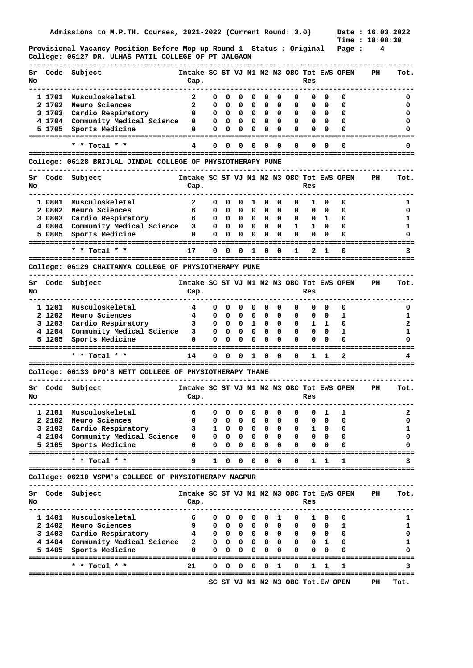**Provisional Vacancy Position Before Mop-up Round 1 Status : Original Page : 4 College: 06127 DR. ULHAS PATIL COLLEGE OF PT JALGAON** 

| Sr<br>No | Code   | Subject                                                     | Intake SC ST VJ N1 N2 N3 OBC Tot EWS OPEN<br>Cap. |   |              |            |              |                   |            |                                   | Res          |            |   | PH                                  | Tot. |
|----------|--------|-------------------------------------------------------------|---------------------------------------------------|---|--------------|------------|--------------|-------------------|------------|-----------------------------------|--------------|------------|---|-------------------------------------|------|
|          | 1 1701 | Musculoskeletal                                             | 2                                                 | 0 | 0            | 0          | 0            | 0                 | 0          | 0                                 | 0            | 0          | 0 |                                     | o    |
|          | 2 1702 | Neuro Sciences                                              | 2                                                 | 0 | 0            | 0          | 0            | 0                 | 0          | 0                                 | 0            | 0          | 0 |                                     | 0    |
|          | 3 1703 | Cardio Respiratory                                          | 0                                                 | 0 | 0            | 0          | 0            | 0                 | 0          | 0                                 | 0            | 0          | 0 |                                     | 0    |
|          | 41704  | Community Medical Science                                   | 0                                                 | 0 | 0            | 0          | 0            | 0                 | 0          | 0                                 | 0            | $\Omega$   | 0 |                                     | 0    |
|          | 5 1705 | Sports Medicine                                             | 0                                                 | 0 | 0            | 0          | 0            | 0                 | 0          | 0                                 | 0            | 0          | 0 |                                     |      |
|          |        |                                                             |                                                   |   |              |            |              |                   |            |                                   |              |            |   |                                     |      |
|          |        | * * Total * *                                               | 4                                                 | 0 | 0            | 0          | 0            | 0                 | 0          | 0                                 | 0            | 0          | 0 |                                     | 0    |
|          |        |                                                             |                                                   |   |              |            |              |                   |            |                                   |              |            |   |                                     |      |
|          |        | College: 06128 BRIJLAL JINDAL COLLEGE OF PHYSIOTHERAPY PUNE |                                                   |   |              |            |              |                   |            |                                   |              |            |   |                                     |      |
| Sr<br>No | Code   | Subject                                                     | Intake SC ST VJ N1 N2 N3 OBC Tot EWS OPEN<br>Cap. |   |              |            |              |                   |            |                                   | Res          |            |   | PH                                  | Tot. |
|          |        |                                                             |                                                   |   |              |            |              |                   |            |                                   |              |            |   |                                     |      |
|          | 1 0801 | Musculoskeletal                                             | 2                                                 | 0 | 0            | 0          | 1            | 0                 | 0          | 0                                 | 1            | 0          | 0 |                                     | ı    |
|          | 2 0802 | Neuro Sciences                                              | 6                                                 | 0 | 0            | 0          | 0            | 0                 | 0          | 0                                 | 0            | 0          | 0 |                                     | 0    |
|          | 3 0803 | Cardio Respiratory                                          | 6                                                 | 0 | 0            | 0          | 0            | 0                 | 0          | 0                                 | 0            | 1          | 0 |                                     | ı    |
|          | 40804  | Community Medical Science                                   | 3                                                 | 0 | 0            | 0          | 0            | 0                 | 0          | 1                                 | 1            | 0          | 0 |                                     | ı    |
|          | 5 0805 | Sports Medicine                                             | 0                                                 | 0 | 0            | 0          | 0            | 0                 | 0          | 0                                 | 0            | 0          | 0 |                                     |      |
|          |        | * * Total * *                                               | 17                                                | 0 | 0            | 0          | 1            | 0                 | 0          | 1                                 | 2            | 1          | 0 |                                     | 3    |
|          |        |                                                             |                                                   |   |              |            |              |                   |            |                                   |              |            |   |                                     |      |
|          |        | College: 06129 CHAITANYA COLLEGE OF PHYSIOTHERAPY PUNE      |                                                   |   |              |            |              |                   |            |                                   |              |            |   |                                     |      |
| Sr<br>No | Code   | Subject                                                     | Intake SC ST VJ N1 N2 N3 OBC Tot EWS OPEN<br>Cap. |   |              |            |              |                   |            |                                   | Res          |            |   | PH                                  | Tot. |
|          | 1 1201 | Musculoskeletal                                             | 4                                                 | 0 | 0            | 0          | 0            | 0                 | 0          | 0                                 | 0            | 0          | 0 |                                     | 0    |
|          | 2 1202 | Neuro Sciences                                              | 4                                                 | 0 | 0            | 0          | 0            | 0                 | 0          | 0                                 | 0            | 0          | 1 |                                     | ı    |
|          | 3 1203 | Cardio Respiratory                                          | 3                                                 | 0 | 0            | 0          | 1            | 0                 | 0          | 0                                 | 1            | 1          | 0 |                                     | 2    |
|          | 4 1204 | Community Medical Science                                   | 3                                                 | 0 | 0            | 0          | 0            | 0                 | 0          | 0                                 | 0            | 0          | 1 |                                     | ı    |
|          |        |                                                             |                                                   |   |              |            |              |                   |            |                                   |              |            |   |                                     |      |
|          |        |                                                             |                                                   |   |              |            |              |                   |            |                                   |              |            |   |                                     |      |
|          | 5 1205 | Sports Medicine                                             | 0                                                 | 0 | 0            | 0          | 0            | 0                 | 0          | 0                                 | 0            | 0          | 0 |                                     |      |
|          |        | * * Total * *                                               | 14                                                | 0 | 0            | 0          | 1            | 0                 | 0          | 0                                 | 1            | 1          | 2 |                                     | 4    |
|          |        | College: 06133 DPO'S NETT COLLEGE OF PHYSIOTHERAPY THANE    |                                                   |   |              |            |              |                   |            |                                   |              |            |   | =================================== |      |
|          |        |                                                             |                                                   |   |              |            |              |                   |            |                                   |              |            |   |                                     |      |
| Sr<br>No |        | Code Subject                                                | Intake SC ST VJ N1 N2 N3 OBC Tot EWS OPEN<br>Cap. |   |              |            |              |                   |            |                                   | Res          |            |   | PH                                  | Tot. |
|          |        |                                                             |                                                   |   |              |            |              |                   |            |                                   |              |            |   |                                     |      |
|          |        | 1 2101 Musculoskeletal                                      | 6                                                 | 0 | 0            | 0          | 0            | 0                 | 0          | 0                                 | 0            | 1          | 1 |                                     | 2    |
|          | 2 2102 | Neuro Sciences                                              | 0                                                 | 0 | 0            | o          | U            | 0                 | 0          | 0                                 | 0            | 0          | 0 |                                     | 0    |
|          | 3 2103 | Cardio Respiratory                                          | з                                                 | 1 | $\mathbf{0}$ | 0          | 0            | 0                 | 0          | 0                                 | ı            | 0          | 0 |                                     | 1    |
|          |        | 4 2104 Community Medical Science                            | 0                                                 | 0 | $\mathbf{0}$ | 0          | 0            | 0                 | 0          | 0                                 | 0            | 0          | 0 |                                     | 0    |
|          | 5 2105 | Sports Medicine                                             | 0                                                 | 0 | 0            | 0          | 0            | 0                 | 0          | 0                                 | 0            |            | Ω |                                     |      |
|          |        | * * Total * *                                               | 9                                                 | 1 | 0            | 0          | 0            | 0                 | 0          | 0                                 | 1            | 1          | 1 |                                     | 3    |
|          |        | College: 06210 VSPM's COLLEGE OF PHYSIOTHERAPY NAGPUR       |                                                   |   |              |            |              |                   |            |                                   |              |            |   |                                     |      |
|          |        |                                                             |                                                   |   |              |            |              |                   |            |                                   |              |            |   |                                     |      |
| Sr<br>No | Code   | Subject                                                     | Intake SC ST VJ N1 N2 N3 OBC Tot EWS OPEN<br>Cap. |   |              |            |              |                   |            |                                   | Res          |            |   | PH                                  | Tot. |
|          |        |                                                             |                                                   |   |              |            |              |                   |            |                                   |              |            |   |                                     |      |
|          |        | 1 1401 Musculoskeletal                                      | 6                                                 | 0 | 0            | 0          | 0            | 0                 | 1          | 0                                 | 1            | 0          | 0 |                                     | 1    |
|          | 2 1402 | Neuro Sciences                                              | 9                                                 | 0 |              | $0\quad 0$ | $\mathbf{0}$ | $\mathbf{0}$      | 0          | 0                                 |              | $0\quad 0$ | 1 |                                     | 1    |
|          | 3 1403 | Cardio Respiratory                                          | 4                                                 | 0 | $0\quad 0$   |            |              | $0\quad 0\quad 0$ |            | 0                                 | $\mathbf{0}$ | 0          | 0 |                                     | 0    |
|          |        | 4 1404 Community Medical Science                            | 2                                                 | 0 | $\mathbf{0}$ | 0          | 0            |                   | $0\quad 0$ | 0                                 | 0            | 1          | 0 |                                     | 1    |
|          | 5 1405 | Sports Medicine                                             | 0                                                 | 0 | 0            | 0          | 0            | 0                 | 0          | 0                                 | 0            | 0          | Ω |                                     | 0    |
|          |        |                                                             | 21                                                | 0 | 0            | 0          | 0            | 0                 | 1          | 0                                 | 1            | 1          | 1 | =======================             | 3    |
|          |        | * * Total * *                                               |                                                   |   |              |            |              |                   |            | SC ST VJ N1 N2 N3 OBC Tot.EW OPEN |              |            |   | PН                                  | Tot. |